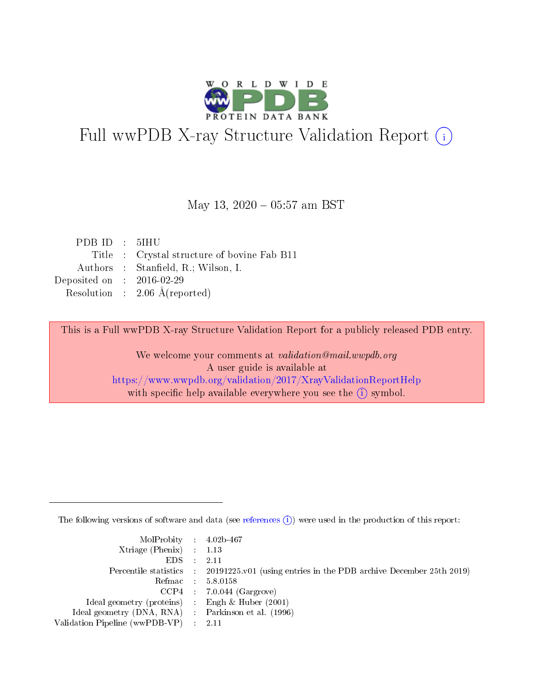

# Full wwPDB X-ray Structure Validation Report (i)

### May 13, 2020 - 05:57 am BST

| PDBID : 5IHU                |                                             |
|-----------------------------|---------------------------------------------|
|                             | Title : Crystal structure of bovine Fab B11 |
|                             | Authors : Stanfield, R.; Wilson, I.         |
| Deposited on : $2016-02-29$ |                                             |
|                             | Resolution : $2.06 \text{ Å}$ (reported)    |
|                             |                                             |

This is a Full wwPDB X-ray Structure Validation Report for a publicly released PDB entry.

We welcome your comments at validation@mail.wwpdb.org A user guide is available at <https://www.wwpdb.org/validation/2017/XrayValidationReportHelp> with specific help available everywhere you see the  $(i)$  symbol.

The following versions of software and data (see [references](https://www.wwpdb.org/validation/2017/XrayValidationReportHelp#references)  $(i)$ ) were used in the production of this report:

| MolProbity : $4.02b-467$                            |                                                                                            |
|-----------------------------------------------------|--------------------------------------------------------------------------------------------|
| Xtriage (Phenix) $: 1.13$                           |                                                                                            |
| EDS                                                 | 2.11                                                                                       |
|                                                     | Percentile statistics : 20191225.v01 (using entries in the PDB archive December 25th 2019) |
| Refmac                                              | 5.8.0158                                                                                   |
|                                                     | $CCP4$ 7.0.044 (Gargrove)                                                                  |
| Ideal geometry (proteins) : Engh $\&$ Huber (2001)  |                                                                                            |
| Ideal geometry (DNA, RNA) : Parkinson et al. (1996) |                                                                                            |
| Validation Pipeline (wwPDB-VP)                      | -2.11                                                                                      |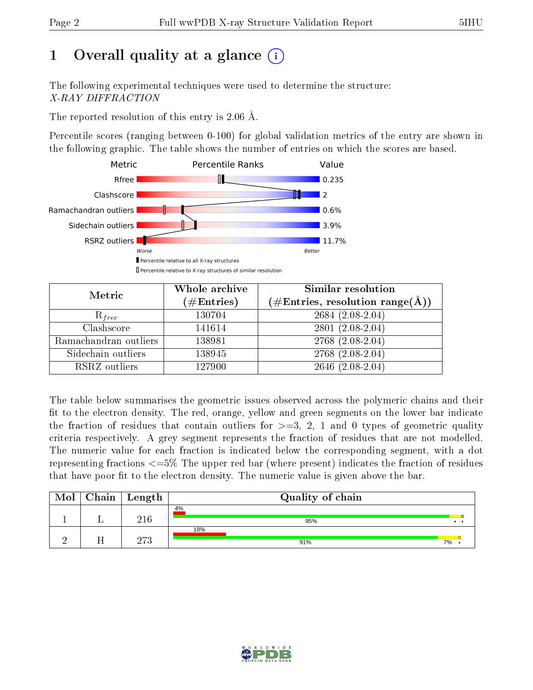# 1 [O](https://www.wwpdb.org/validation/2017/XrayValidationReportHelp#overall_quality)verall quality at a glance  $(i)$

The following experimental techniques were used to determine the structure: X-RAY DIFFRACTION

The reported resolution of this entry is 2.06 Å.

Percentile scores (ranging between 0-100) for global validation metrics of the entry are shown in the following graphic. The table shows the number of entries on which the scores are based.



| Metric                | Whole archive<br>$(\#\text{Entries})$ | Similar resolution<br>$(\#\text{Entries},\,\text{resolution}\,\,\text{range}(\textup{\AA}))$ |  |  |
|-----------------------|---------------------------------------|----------------------------------------------------------------------------------------------|--|--|
| $R_{free}$            | 130704                                | $2684(2.08-2.04)$                                                                            |  |  |
| Clashscore            | 141614                                | $2801(2.08-2.04)$                                                                            |  |  |
| Ramachandran outliers | 138981                                | 2768 (2.08-2.04)                                                                             |  |  |
| Sidechain outliers    | 138945                                | $2768$ $(2.08-2.04)$                                                                         |  |  |
| RSRZ outliers         | 127900                                | $2646$ $(2.08-2.04)$                                                                         |  |  |

The table below summarises the geometric issues observed across the polymeric chains and their fit to the electron density. The red, orange, yellow and green segments on the lower bar indicate the fraction of residues that contain outliers for  $>=$  3, 2, 1 and 0 types of geometric quality criteria respectively. A grey segment represents the fraction of residues that are not modelled. The numeric value for each fraction is indicated below the corresponding segment, with a dot representing fractions  $\epsilon=5\%$  The upper red bar (where present) indicates the fraction of residues that have poor fit to the electron density. The numeric value is given above the bar.

| Mol | Chain   Length | Quality of chain |    |
|-----|----------------|------------------|----|
|     | 216            | 4%<br>95%        |    |
|     | פרח            | 18%<br>91%       | 7% |

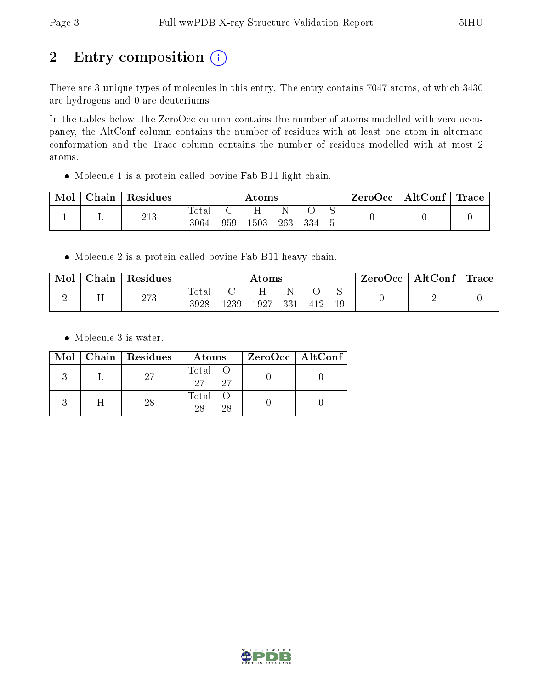# 2 Entry composition (i)

There are 3 unique types of molecules in this entry. The entry contains 7047 atoms, of which 3430 are hydrogens and 0 are deuteriums.

In the tables below, the ZeroOcc column contains the number of atoms modelled with zero occupancy, the AltConf column contains the number of residues with at least one atom in alternate conformation and the Trace column contains the number of residues modelled with at most 2 atoms.

Molecule 1 is a protein called bovine Fab B11 light chain.

| Mol | Chain | $\perp$ Residues | $\rm{Atoms}$  |     |          |     |     | ZeroOcc | AltConf | $\mid$ Trace $\mid$ |  |
|-----|-------|------------------|---------------|-----|----------|-----|-----|---------|---------|---------------------|--|
|     |       | 213              | Total<br>3064 | 959 | $1503\,$ | 263 | 334 |         |         |                     |  |

Molecule 2 is a protein called bovine Fab B11 heavy chain.

| Mol | Chain        | Residues | $\rm{Atoms}$  |      |      |     |     | ZeroOcc | $\mathbf{AltConf}$ | Trace |  |
|-----|--------------|----------|---------------|------|------|-----|-----|---------|--------------------|-------|--|
| ↩   | $\mathbf{r}$ | 273      | Total<br>3928 | 1239 | 1927 | 331 | 412 | $\sim$  |                    |       |  |

• Molecule 3 is water.

|  | Mol   Chain   Residues | Atoms                | ZeroOcc   AltConf |
|--|------------------------|----------------------|-------------------|
|  | 27                     | Total O<br>27<br>-27 |                   |
|  | 28                     | Total O<br>28<br>28  |                   |

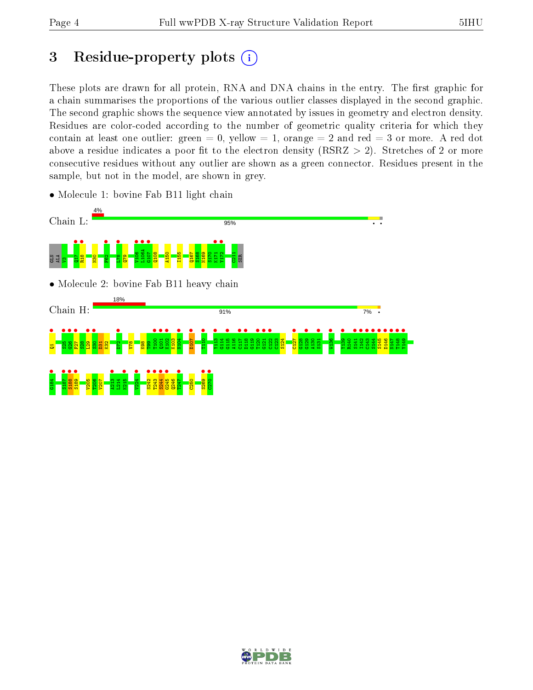# 3 Residue-property plots  $(i)$

These plots are drawn for all protein, RNA and DNA chains in the entry. The first graphic for a chain summarises the proportions of the various outlier classes displayed in the second graphic. The second graphic shows the sequence view annotated by issues in geometry and electron density. Residues are color-coded according to the number of geometric quality criteria for which they contain at least one outlier: green  $= 0$ , yellow  $= 1$ , orange  $= 2$  and red  $= 3$  or more. A red dot above a residue indicates a poor fit to the electron density (RSRZ  $> 2$ ). Stretches of 2 or more consecutive residues without any outlier are shown as a green connector. Residues present in the sample, but not in the model, are shown in grey.

![](_page_3_Figure_5.jpeg)

• Molecule 1: bovine Fab B11 light chain

![](_page_3_Picture_7.jpeg)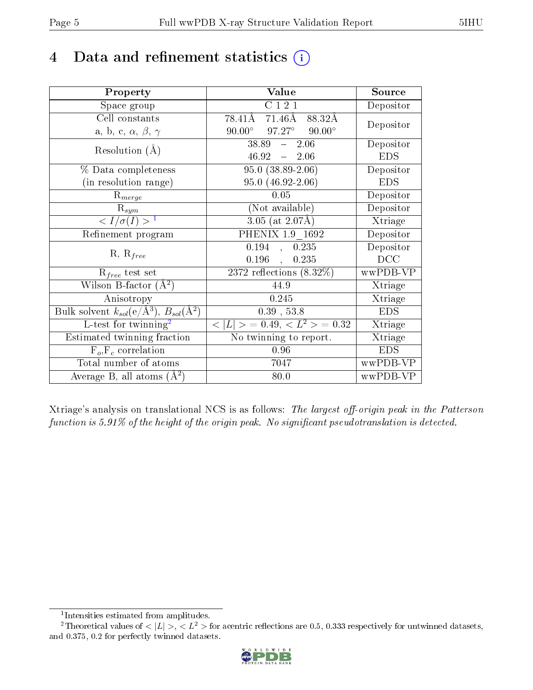# 4 Data and refinement statistics  $(i)$

| Property                                                         | Value                                              | Source     |
|------------------------------------------------------------------|----------------------------------------------------|------------|
| Space group                                                      | C121                                               | Depositor  |
| Cell constants                                                   | 78.41Å 71.46Å<br>88.32Å                            | Depositor  |
| a, b, c, $\alpha$ , $\beta$ , $\gamma$                           | $97.27^{\circ}$ $90.00^{\circ}$<br>$90.00^{\circ}$ |            |
| Resolution $(A)$                                                 | $38.89 - 2.06$                                     | Depositor  |
|                                                                  | $46.92 = 2.06$                                     | <b>EDS</b> |
| % Data completeness                                              | $95.0(38.89-2.06)$                                 | Depositor  |
| (in resolution range)                                            | $95.0(46.92-2.06)$                                 | <b>EDS</b> |
| $R_{merge}$                                                      | 0.05                                               | Depositor  |
| $\mathrm{R}_{sym}$                                               | (Not available)                                    | Depositor  |
| $\langle I/\sigma(I) \rangle^{-1}$                               | $3.05$ (at 2.07Å)                                  | Xtriage    |
| Refinement program                                               | PHENIX 1.9 1692                                    | Depositor  |
| $R, R_{free}$                                                    | 0.194<br>0.235<br>$\frac{1}{2}$                    | Depositor  |
|                                                                  | 0.196<br>0.235<br>$\mathcal{L}$                    | DCC        |
| $\mathcal{R}_{free}$ test set                                    | $2372$ reflections $(8.32\%)$                      | wwPDB-VP   |
| Wilson B-factor $(A^2)$                                          | 44.9                                               | Xtriage    |
| Anisotropy                                                       | 0.245                                              | Xtriage    |
| Bulk solvent $k_{sol}(\text{e}/\text{A}^3), B_{sol}(\text{A}^2)$ | $0.39$ , 53.8                                      | <b>EDS</b> |
| L-test for $\mathrm{twinning}^2$                                 | $< L >$ = 0.49, $< L2$ > = 0.32                    | Xtriage    |
| Estimated twinning fraction                                      | $\overline{\text{No}}$ twinning to report.         | Xtriage    |
| $F_o, F_c$ correlation                                           | 0.96                                               | <b>EDS</b> |
| Total number of atoms                                            | 7047                                               | wwPDB-VP   |
| Average B, all atoms $(A^2)$                                     | 80.0                                               | wwPDB-VP   |

Xtriage's analysis on translational NCS is as follows: The largest off-origin peak in the Patterson function is  $5.91\%$  of the height of the origin peak. No significant pseudotranslation is detected.

<sup>&</sup>lt;sup>2</sup>Theoretical values of  $\langle |L| \rangle$ ,  $\langle L^2 \rangle$  for acentric reflections are 0.5, 0.333 respectively for untwinned datasets, and 0.375, 0.2 for perfectly twinned datasets.

![](_page_4_Picture_8.jpeg)

<span id="page-4-1"></span><span id="page-4-0"></span><sup>1</sup> Intensities estimated from amplitudes.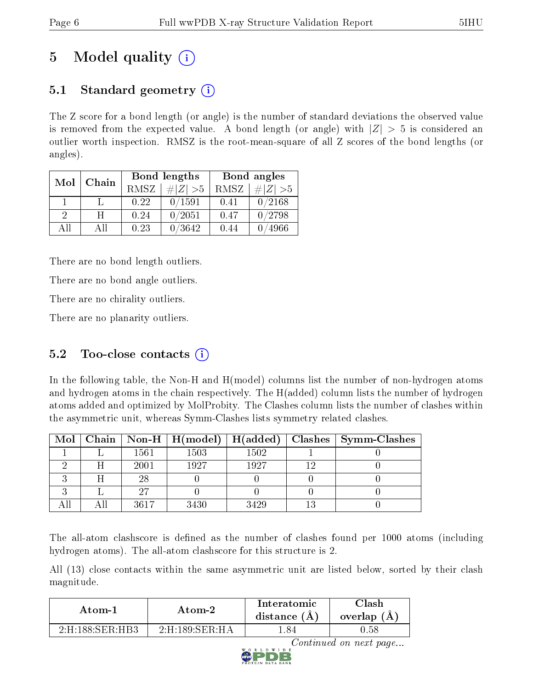# 5 Model quality  $(i)$

## 5.1 Standard geometry  $(i)$

The Z score for a bond length (or angle) is the number of standard deviations the observed value is removed from the expected value. A bond length (or angle) with  $|Z| > 5$  is considered an outlier worth inspection. RMSZ is the root-mean-square of all Z scores of the bond lengths (or angles).

| Mol           | Chain |             | Bond lengths | Bond angles |             |  |
|---------------|-------|-------------|--------------|-------------|-------------|--|
|               |       | <b>RMSZ</b> | $\# Z  > 5$  | RMSZ        | # $ Z  > 5$ |  |
|               |       | 0.22        | 0/1591       | 0.41        | 0/2168      |  |
| $\mathcal{D}$ | H     | 0.24        | 0/2051       | 0.47        | 0/2798      |  |
| AH            | All   | 0.23        | 0 / 3642     | 0.44        | 4966        |  |

There are no bond length outliers.

There are no bond angle outliers.

There are no chirality outliers.

There are no planarity outliers.

## 5.2 Too-close contacts  $(i)$

In the following table, the Non-H and H(model) columns list the number of non-hydrogen atoms and hydrogen atoms in the chain respectively. The H(added) column lists the number of hydrogen atoms added and optimized by MolProbity. The Clashes column lists the number of clashes within the asymmetric unit, whereas Symm-Clashes lists symmetry related clashes.

|  |      | Mol   Chain   Non-H   H(model)   H(added) |      | $\vert$ Clashes $\vert$ Symm-Clashes |
|--|------|-------------------------------------------|------|--------------------------------------|
|  | 1561 | 1503                                      | 1502 |                                      |
|  | 2001 | 1927                                      | 1927 |                                      |
|  | 28   |                                           |      |                                      |
|  | 97   |                                           |      |                                      |
|  | 3617 | 3430                                      | 3429 |                                      |

The all-atom clashscore is defined as the number of clashes found per 1000 atoms (including hydrogen atoms). The all-atom clashscore for this structure is 2.

All (13) close contacts within the same asymmetric unit are listed below, sorted by their clash magnitude.

| Atom-2                                     |                                           | Interatomic    | $\gamma$ lash |
|--------------------------------------------|-------------------------------------------|----------------|---------------|
| Atom-1                                     |                                           | distance $(A)$ | overlap (A    |
| $2 \cdot H \cdot 188 \cdot SFR \cdot H R3$ | $2 \cdot H \cdot 189 \cdot SER \cdot H A$ | .84            | 1.58          |

![](_page_5_Picture_17.jpeg)

Continued on next page...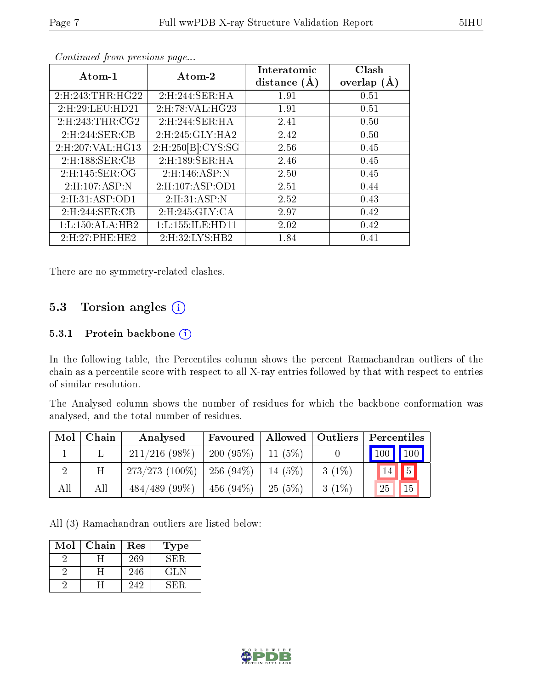| Atom-1               | Atom-2                   | Interatomic    | Clash         |
|----------------------|--------------------------|----------------|---------------|
|                      |                          | distance $(A)$ | overlap $(A)$ |
| 2: H: 243: THR: HG22 | 2:H:244:SER:HA           | 1.91           | 0.51          |
| 2:H:29:LEU:HD21      | 2:H:78:VAL:HG23          | 1.91           | 0.51          |
| 2: H:243: THR:CG2    | 2:H:244:SER:HA           | 2.41           | 0.50          |
| 2:H:244:SER:CB       | 2:H:245:GLY:HA2          | 2.42           | 0.50          |
| 2:H:207:VAL:HG13     | $2:$ H $:250[B]$ :CYS:SG | 2.56           | 0.45          |
| 2:H:188:SER:CB       | 2:H:189:SER:HA           | 2.46           | 0.45          |
| 2: H: 145: SER: OG   | 2:H:146:ASP:N            | 2.50           | 0.45          |
| 2:H:107:ASP:N        | 2:H:107:ASP:OD1          | 2.51           | 0.44          |
| 2:H:31:ASP:OD1       | 2: H:31: ASP:N           | 2.52           | 0.43          |
| 2:H:244:SER:CB       | 2:H:245:GLY:CA           | 2.97           | 0.42          |
| 1: L: 150: ALA: HB2  | 1: L: 155: ILE: HD11     | 2.02           | 0.42          |
| 2:H:27:PHE:HE2       | 2:H:32:LYS:HB2           | 1.84           | 0.41          |

Continued from previous page...

There are no symmetry-related clashes.

### 5.3 Torsion angles (i)

#### 5.3.1 Protein backbone (i)

In the following table, the Percentiles column shows the percent Ramachandran outliers of the chain as a percentile score with respect to all X-ray entries followed by that with respect to entries of similar resolution.

The Analysed column shows the number of residues for which the backbone conformation was analysed, and the total number of residues.

| Mol | Chain | Analysed         | Favoured     | Allowed   Outliers |          | Percentiles |             |
|-----|-------|------------------|--------------|--------------------|----------|-------------|-------------|
|     |       | $211/216$ (98\%) | 200(95%)     | $11(5\%)$          |          | 100 100     |             |
|     | Η     | $273/273(100\%)$ | $-256(94\%)$ | $14(5\%)$          | $3(1\%)$ | 14          | 5           |
| All | All   | $484/489$ (99\%) | 456 $(94\%)$ | 25(5%)             | $3(1\%)$ | 25          | $\sqrt{15}$ |

All (3) Ramachandran outliers are listed below:

| Mol | Chain | Res | l'ype |
|-----|-------|-----|-------|
|     |       | 269 | SER.  |
|     |       | 246 | GL N  |
|     |       | 242 |       |

![](_page_6_Picture_13.jpeg)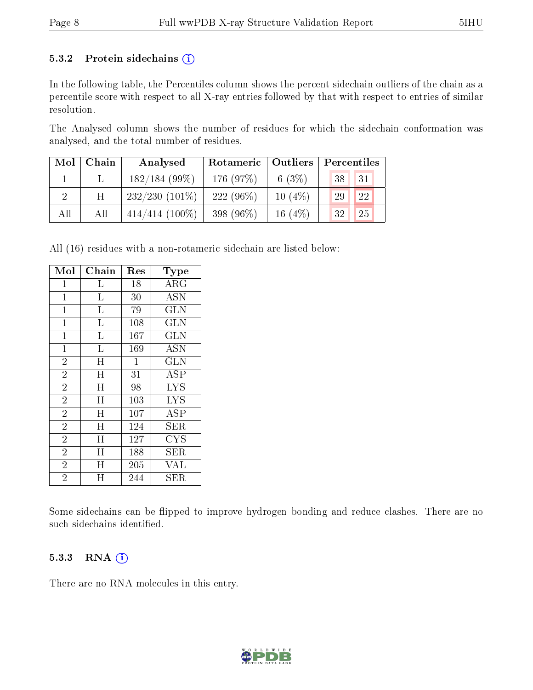#### 5.3.2 Protein sidechains  $(i)$

In the following table, the Percentiles column shows the percent sidechain outliers of the chain as a percentile score with respect to all X-ray entries followed by that with respect to entries of similar resolution.

The Analysed column shows the number of residues for which the sidechain conformation was analysed, and the total number of residues.

| Mol | Chain | Analysed          | <b>Outliers</b><br>Rotameric |            | Percentiles |  |
|-----|-------|-------------------|------------------------------|------------|-------------|--|
|     |       | $182/184(99\%)$   | 176 (97%)                    | 6 $(3%)$   | 131<br>38   |  |
|     | Η     | $232/230(101\%)$  | $222(96\%)$                  | $10(4\%)$  | 22<br>29    |  |
| All | All   | $414/414$ (100\%) | 398 (96%)                    | 16 $(4\%)$ | 25<br>32    |  |

All (16) residues with a non-rotameric sidechain are listed below:

| Mol            | $\overline{\text{Chain}}$ | Res            | Type                               |
|----------------|---------------------------|----------------|------------------------------------|
| $\mathbf 1$    | L                         | 18             | ARG                                |
| $\mathbf 1$    | Г                         | 30             | $\overline{\mathrm{A}}\mathrm{SN}$ |
| $\mathbf{1}$   | L                         | 79             | <b>GLN</b>                         |
| $\mathbf{1}$   | $\mathbf{L}$              | 108            | <b>GLN</b>                         |
| $\mathbf 1$    | $\overline{\mathrm{L}}$   | 167            | $\overline{\text{GLN}}$            |
| $\mathbf{1}$   | L                         | 169            | ASN                                |
| $\overline{2}$ | $\overline{\mathrm{H}}$   | $\overline{1}$ | $\overline{\text{GLN}}$            |
| $\overline{2}$ | H                         | 31             | ASP                                |
| $\overline{2}$ | $\overline{H}$            | 98             | <b>LYS</b>                         |
| $\overline{2}$ | H                         | 103            | <b>LYS</b>                         |
| $\overline{2}$ | Η                         | 107            | ASP                                |
| $\overline{2}$ | H                         | 124            | <b>SER</b>                         |
| $\overline{2}$ | H                         | 127            | CYS                                |
| $\overline{2}$ | Η                         | 188            | ${\rm SER}$                        |
| $\overline{2}$ | H                         | 205            | VAL                                |
| $\overline{2}$ | Ħ                         | 244            | SER                                |

Some sidechains can be flipped to improve hydrogen bonding and reduce clashes. There are no such sidechains identified.

### 5.3.3 RNA (i)

There are no RNA molecules in this entry.

![](_page_7_Picture_12.jpeg)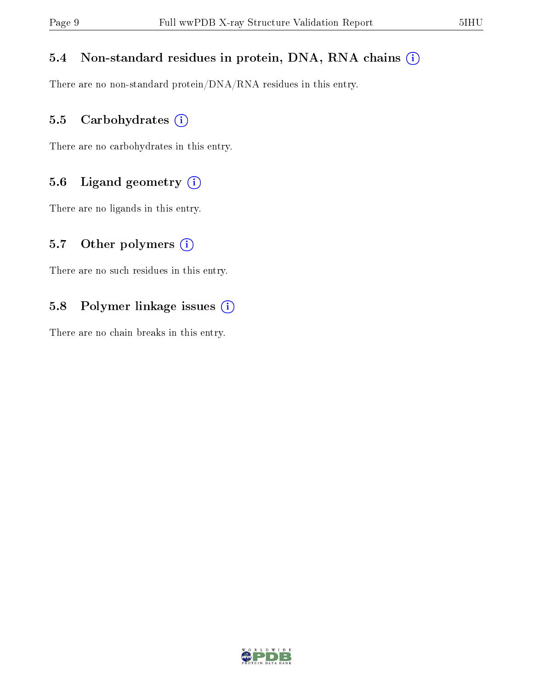### 5.4 Non-standard residues in protein, DNA, RNA chains (i)

There are no non-standard protein/DNA/RNA residues in this entry.

### 5.5 Carbohydrates (i)

There are no carbohydrates in this entry.

### 5.6 Ligand geometry (i)

There are no ligands in this entry.

### 5.7 [O](https://www.wwpdb.org/validation/2017/XrayValidationReportHelp#nonstandard_residues_and_ligands)ther polymers  $(i)$

There are no such residues in this entry.

### 5.8 Polymer linkage issues (i)

There are no chain breaks in this entry.

![](_page_8_Picture_13.jpeg)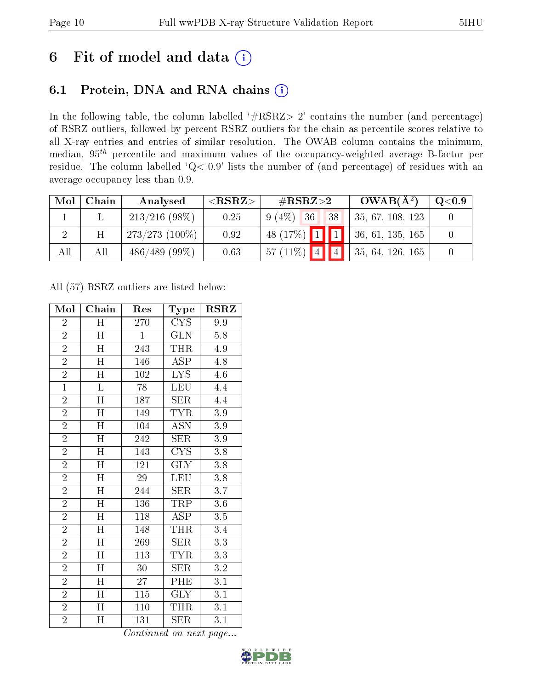# 6 Fit of model and data  $(i)$

## 6.1 Protein, DNA and RNA chains  $(i)$

In the following table, the column labelled  $#RSRZ> 2'$  contains the number (and percentage) of RSRZ outliers, followed by percent RSRZ outliers for the chain as percentile scores relative to all X-ray entries and entries of similar resolution. The OWAB column contains the minimum, median,  $95<sup>th</sup>$  percentile and maximum values of the occupancy-weighted average B-factor per residue. The column labelled ' $Q< 0.9$ ' lists the number of (and percentage) of residues with an average occupancy less than 0.9.

| Mol            | Chain | Analysed          | ${ <\hspace{-1.5pt}{\mathrm{RSRZ}} \hspace{-1.5pt}>}$ | $\#RSRZ\!\!>\!2$ |  | $OWAB(A^2)$                   | $\rm Q\textcolor{black}{<}0.9$ |
|----------------|-------|-------------------|-------------------------------------------------------|------------------|--|-------------------------------|--------------------------------|
|                |       | $213/216$ (98\%)  | 0.25                                                  | $9(4\%)$ 36 38   |  | 35, 67, 108, 123              |                                |
| $\overline{2}$ | Η     | $273/273$ (100\%) | 0.92                                                  |                  |  | 48 (17%) 1 1 36, 61, 135, 165 |                                |
| All            | All   | $486/489$ (99\%)  | 0.63                                                  | 57 (11%) 4 4     |  | 35, 64, 126, 165              |                                |

All (57) RSRZ outliers are listed below:

| Mol            | Chain                     | Res              | Type                            | <b>RSRZ</b>      |
|----------------|---------------------------|------------------|---------------------------------|------------------|
| $\overline{2}$ | Η                         | 270              | <b>CYS</b>                      | 9.9              |
| $\overline{2}$ | Η                         | $\mathbf{1}$     | <b>GLN</b>                      | 5.8              |
| $\overline{2}$ | $\overline{\mathrm{H}}$   | 243              | THR                             | 4.9              |
| $\overline{2}$ | $\mathbf H$               | 146              | ASP                             | 4.8              |
| $\overline{2}$ | $\overline{\rm H}$        | 102              | $\overline{\text{L} \text{YS}}$ | 4.6              |
| $\overline{1}$ | L                         | 78               | <b>LEU</b>                      | 4.4              |
| $\overline{2}$ | $\overline{\rm H}$        | 187              | SER                             | 4.4              |
| $\overline{2}$ | $\overline{H}$            | 149              | TYR                             | 3.9              |
| $\overline{2}$ | H                         | 104              | <b>ASN</b>                      | 3.9              |
| $\overline{2}$ | $\overline{\rm H}$        | 242              | <b>SER</b>                      | 3.9              |
| $\overline{2}$ | $\mathbf H$               | 143              | $CY\overline{S}$                | $3.8\,$          |
| $\overline{2}$ | $\overline{\rm H}$        | 121              | $\overline{\text{GLY}}$         | 3.8              |
| $\overline{2}$ | H                         | 29               | <b>LEU</b>                      | 3.8              |
| $\overline{2}$ | H                         | 244              | <b>SER</b>                      | $3.\overline{7}$ |
| $\overline{2}$ | $\overline{\text{H}}$     | 136              | <b>TRP</b>                      | 3.6              |
| $\overline{2}$ | H                         | 118              | <b>ASP</b>                      | 3.5              |
| $\overline{2}$ | $\overline{\rm H}$        | 148              | <b>THR</b>                      | $\overline{3}.4$ |
| $\overline{2}$ | $\boldsymbol{\mathrm{H}}$ | 269              | <b>SER</b>                      | 3.3              |
| $\overline{2}$ | H                         | 113              | <b>TYR</b>                      | 3.3              |
| $\overline{2}$ | $\overline{\mathrm{H}}$   | 30               | <b>SER</b>                      | 3.2              |
| $\overline{2}$ | H                         | 27               | PHE                             | 3.1              |
| $\overline{2}$ | $\overline{\rm H}$        | $\overline{115}$ | $\overline{\text{GLY}}$         | $\overline{3.1}$ |
| $\overline{2}$ | H                         | 110              | THR                             | 3.1              |
| $\overline{2}$ | H                         | 131              | <b>SER</b>                      | $3.\overline{1}$ |

Continued on next page...

![](_page_9_Picture_10.jpeg)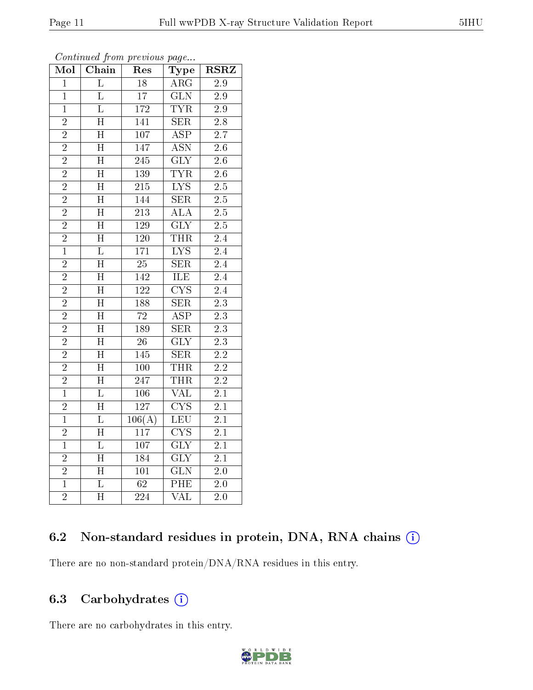| Mol            | Chain                   | Res              | Type                    | <b>RSRZ</b>      |
|----------------|-------------------------|------------------|-------------------------|------------------|
| $\mathbf{1}$   | $\overline{\mathrm{L}}$ | $\overline{18}$  | $\rm{ARG}$              | 2.9              |
| $\mathbf{1}$   | $\overline{\mathrm{L}}$ | $\overline{17}$  | $\overline{\text{GLN}}$ | $\overline{2.9}$ |
| $\overline{1}$ | $\overline{\mathrm{L}}$ | $\overline{172}$ | $\overline{\text{TYR}}$ | $\overline{2.9}$ |
| $\overline{2}$ | $\overline{H}$          | 141              | <b>SER</b>              | 2.8              |
| $\overline{2}$ | $\overline{\rm H}$      | $\overline{107}$ | $\overline{\text{ASP}}$ | $\overline{2.7}$ |
| $\overline{2}$ | $\overline{\text{H}}$   | 147              | <b>ASN</b>              | 2.6              |
| $\overline{2}$ | $\overline{\rm H}$      | $\overline{245}$ | $\overline{\text{GLY}}$ | $\overline{2.6}$ |
| $\overline{2}$ | $\overline{\rm H}$      | 139              | <b>TYR</b>              | $\overline{2.6}$ |
| $\overline{2}$ | H                       | 215              | $\overline{\text{LYS}}$ | 2.5              |
| $\overline{2}$ | $\overline{\rm H}$      | 144              | $\overline{\text{SER}}$ | $\overline{2.5}$ |
| $\overline{2}$ | $\overline{\text{H}}$   | $\overline{213}$ | $\overline{\rm ALA}$    | 2.5              |
| $\overline{2}$ | $\overline{\mathrm{H}}$ | 129              | $\overline{\text{GLY}}$ | $\overline{2.5}$ |
| $\overline{2}$ | $\overline{\rm H}$      | $\overline{120}$ | <b>THR</b>              | $\overline{2.4}$ |
| $\overline{1}$ | $\overline{\mathrm{L}}$ | $\overline{171}$ | $\overline{\text{LYS}}$ | $\overline{2.4}$ |
| $\overline{2}$ | $\overline{\text{H}}$   | $\overline{25}$  | $\overline{\text{SER}}$ | $\overline{2.4}$ |
| $\overline{2}$ | $\overline{\rm H}$      | 142              | ILE                     | $\overline{2.4}$ |
| $\overline{2}$ | $\overline{\rm H}$      | $\overline{122}$ | $\overline{\text{CYS}}$ | $\overline{2.4}$ |
| $\overline{2}$ | $\overline{\rm H}$      | 188              | $\overline{\text{SER}}$ | $\overline{2.3}$ |
| $\overline{2}$ | $\overline{\rm H}$      | $\overline{72}$  | $\overline{\text{ASP}}$ | $\overline{2.3}$ |
| $\overline{2}$ | $\overline{\mathrm{H}}$ | 189              | $\overline{\text{SER}}$ | $\overline{2.3}$ |
| $\overline{2}$ | $\overline{\text{H}}$   | $\overline{26}$  | $\overline{\text{GLY}}$ | $\overline{2.3}$ |
| $\overline{2}$ | $\overline{\rm H}$      | 145              | $\overline{\text{SER}}$ | $\overline{2.2}$ |
| $\overline{2}$ | $\overline{\mathrm{H}}$ | $\overline{100}$ | THR                     | $\overline{2.2}$ |
| $\overline{2}$ | $\overline{\rm H}$      | $\overline{247}$ | THR                     | $\overline{2.2}$ |
| $\overline{1}$ | $\overline{\text{L}}$   | $\overline{106}$ | $\overline{\text{VAL}}$ | $\overline{2.1}$ |
| $\overline{2}$ | $\overline{\text{H}}$   | 127              | $\overline{\text{CYS}}$ | $\overline{2.1}$ |
| $\overline{1}$ | $\overline{\mathrm{L}}$ | 106(A)           | LEU                     | $2.\overline{1}$ |
| $\overline{2}$ | $\overline{\text{H}}$   | 117              | $\overline{\text{CYS}}$ | $\overline{2.1}$ |
| $\overline{1}$ | $\overline{\mathrm{L}}$ | $\overline{107}$ | $\overline{\text{GLY}}$ | $\overline{2.1}$ |
| $\overline{2}$ | $\overline{\rm H}$      | 184              | $\overline{\text{GLY}}$ | $\overline{2.1}$ |
| $\overline{2}$ | H                       | 101              | $\overline{\text{GLN}}$ | 2.0              |
| $\overline{1}$ | $\overline{\mathrm{L}}$ | $\overline{62}$  | PHE                     | $\overline{2.0}$ |
| $\overline{2}$ | $\overline{\text{H}}$   | $\overline{224}$ | $\overline{\text{VAL}}$ | $\overline{2.0}$ |

Continued from previous page...

### 6.2 Non-standard residues in protein, DNA, RNA chains (i)

There are no non-standard protein/DNA/RNA residues in this entry.

### 6.3 Carbohydrates  $(i)$

There are no carbohydrates in this entry.

![](_page_10_Picture_9.jpeg)